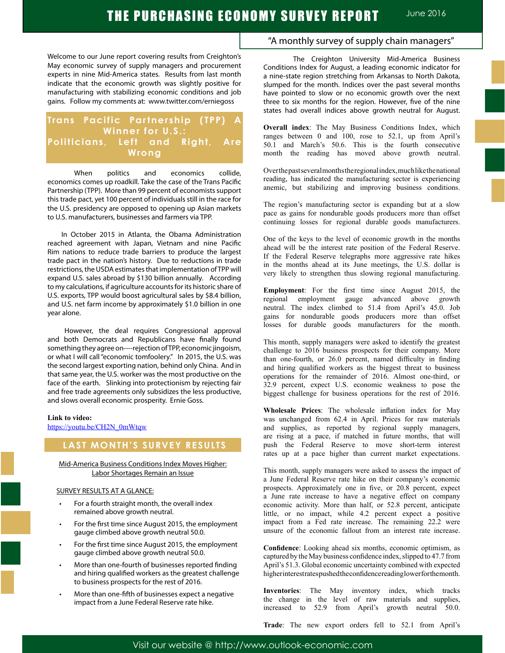Welcome to our June report covering results from Creighton's May economic survey of supply managers and procurement experts in nine Mid-America states. Results from last month indicate that the economic growth was slightly positive for manufacturing with stabilizing economic conditions and job gains. Follow my comments at: www.twitter.com/erniegoss

### **Trans Pacific Partnership (TPP) Winner for U.S.: Politicians, Left and Right, Are Wrong**

When politics and economics collide, economics comes up roadkill. Take the case of the Trans Pacific Partnership (TPP). More than 99 percent of economists support this trade pact, yet 100 percent of individuals still in the race for the U.S. presidency are opposed to opening up Asian markets to U.S. manufacturers, businesses and farmers via TPP.

 In October 2015 in Atlanta, the Obama Administration reached agreement with Japan, Vietnam and nine Pacific Rim nations to reduce trade barriers to produce the largest trade pact in the nation's history. Due to reductions in trade restrictions, the USDA estimates that implementation of TPP will expand U.S. sales abroad by \$130 billion annually. According to my calculations, if agriculture accounts for its historic share of U.S. exports, TPP would boost agricultural sales by \$8.4 billion, and U.S. net farm income by approximately \$1.0 billion in one year alone.

 However, the deal requires Congressional approval and both Democrats and Republicans have finally found something they agree on----rejection of TPP, economic jingoism, or what I will call "economic tomfoolery." In 2015, the U.S. was the second largest exporting nation, behind only China. And in that same year, the U.S. worker was the most productive on the face of the earth. Slinking into protectionism by rejecting fair and free trade agreements only subsidizes the less productive, and slows overall economic prosperity. Ernie Goss.

#### **Link to video:**

https://youtu.be/CH2N\_0mWtqw

### **LAST MONTH'S SURVEY RESULTS**

Mid-America Business Conditions Index Moves Higher: Labor Shortages Remain an Issue

#### SURVEY RESULTS AT A GLANCE:

- For a fourth straight month, the overall index remained above growth neutral.
- For the first time since August 2015, the employment gauge climbed above growth neutral 50.0.
- For the first time since August 2015, the employment gauge climbed above growth neutral 50.0.
- More than one-fourth of businesses reported finding and hiring qualified workers as the greatest challenge to business prospects for the rest of 2016.
- More than one-fifth of businesses expect a negative impact from a June Federal Reserve rate hike.

### "A monthly survey of supply chain managers"

The Creighton University Mid-America Business Conditions Index for August, a leading economic indicator for a nine-state region stretching from Arkansas to North Dakota, slumped for the month. Indices over the past several months have pointed to slow or no economic growth over the next three to six months for the region. However, five of the nine states had overall indices above growth neutral for August.

**Overall index**: The May Business Conditions Index, which ranges between 0 and 100, rose to 52.1, up from April's 50.1 and March's 50.6. This is the fourth consecutive month the reading has moved above growth neutral.

Over the past several months the regional index, much like the national reading, has indicated the manufacturing sector is experiencing anemic, but stabilizing and improving business conditions.

The region's manufacturing sector is expanding but at a slow pace as gains for nondurable goods producers more than offset continuing losses for regional durable goods manufacturers.

One of the keys to the level of economic growth in the months ahead will be the interest rate position of the Federal Reserve. If the Federal Reserve telegraphs more aggressive rate hikes in the months ahead at its June meetings, the U.S. dollar is very likely to strengthen thus slowing regional manufacturing.

**Employment**: For the first time since August 2015, the regional employment gauge advanced above growth neutral. The index climbed to 51.4 from April's 45.0. Job gains for nondurable goods producers more than offset losses for durable goods manufacturers for the month.

This month, supply managers were asked to identify the greatest challenge to 2016 business prospects for their company. More than one-fourth, or 26.0 percent, named difficulty in finding and hiring qualified workers as the biggest threat to business operations for the remainder of 2016. Almost one-third, or 32.9 percent, expect U.S. economic weakness to pose the biggest challenge for business operations for the rest of 2016.

**Wholesale Prices**: The wholesale inflation index for May was unchanged from 62.4 in April. Prices for raw materials and supplies, as reported by regional supply managers, are rising at a pace, if matched in future months, that will push the Federal Reserve to move short-term interest rates up at a pace higher than current market expectations.

This month, supply managers were asked to assess the impact of a June Federal Reserve rate hike on their company's economic prospects. Approximately one in five, or 20.8 percent, expect a June rate increase to have a negative effect on company economic activity. More than half, or 52.8 percent, anticipate little, or no impact, while 4.2 percent expect a positive impact from a Fed rate increase. The remaining 22.2 were unsure of the economic fallout from an interest rate increase.

**Confidence**: Looking ahead six months, economic optimism, as captured by the May business confidence index, slipped to 47.7 from April's 51.3. Global economic uncertainty combined with expected higher interestrates pushed the confidence reading lower for the month.

**Inventories**: The May inventory index, which tracks the change in the level of raw materials and supplies, increased to 52.9 from April's growth neutral 50.0.

**Trade**: The new export orders fell to 52.1 from April's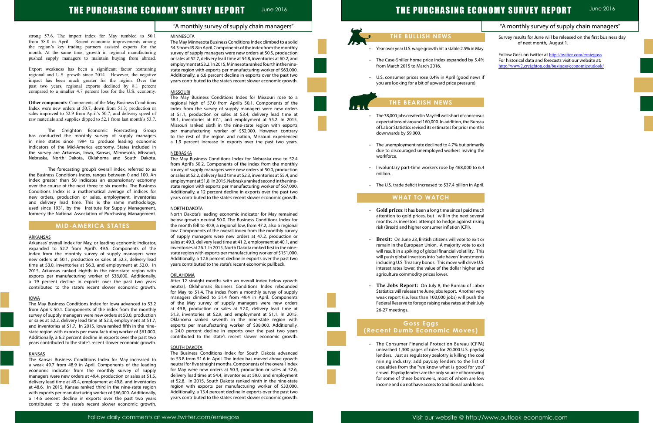# THE PURCHASING ECONOMY SURVEY REPORT

|               | "A monthly survey of supply chain managers"                                                                                                                              |  |
|---------------|--------------------------------------------------------------------------------------------------------------------------------------------------------------------------|--|
|               | Survey results for June will be released on the first business day<br>of next month, August 1.                                                                           |  |
| ay.           |                                                                                                                                                                          |  |
| 1%            | Follow Goss on twitter at http://twitter.com/erniegoss<br>For historical data and forecasts visit our website at:<br>http://www2.creighton.edu/business/economicoutlook/ |  |
| s if          |                                                                                                                                                                          |  |
|               |                                                                                                                                                                          |  |
|               |                                                                                                                                                                          |  |
| sus           |                                                                                                                                                                          |  |
| au            |                                                                                                                                                                          |  |
| :hs           |                                                                                                                                                                          |  |
|               |                                                                                                                                                                          |  |
| ʻily          |                                                                                                                                                                          |  |
| he            |                                                                                                                                                                          |  |
| 5.4           |                                                                                                                                                                          |  |
| ril.          |                                                                                                                                                                          |  |
|               |                                                                                                                                                                          |  |
|               |                                                                                                                                                                          |  |
| ch            |                                                                                                                                                                          |  |
| ral           |                                                                                                                                                                          |  |
| ng            |                                                                                                                                                                          |  |
| or            |                                                                                                                                                                          |  |
| xit           |                                                                                                                                                                          |  |
| his           |                                                                                                                                                                          |  |
| ገts           |                                                                                                                                                                          |  |
| I.S.          |                                                                                                                                                                          |  |
| nd            |                                                                                                                                                                          |  |
|               |                                                                                                                                                                          |  |
| or<br>ery     |                                                                                                                                                                          |  |
| he            |                                                                                                                                                                          |  |
| uly           |                                                                                                                                                                          |  |
|               |                                                                                                                                                                          |  |
|               |                                                                                                                                                                          |  |
|               |                                                                                                                                                                          |  |
| A)            |                                                                                                                                                                          |  |
| lay           |                                                                                                                                                                          |  |
| dal           |                                                                                                                                                                          |  |
| $\mathsf{of}$ |                                                                                                                                                                          |  |
| งน"           |                                                                                                                                                                          |  |
| ng            |                                                                                                                                                                          |  |
| ЭW<br>ns.     |                                                                                                                                                                          |  |
|               |                                                                                                                                                                          |  |
|               |                                                                                                                                                                          |  |

### "A monthly survey of supply chain managers"

Follow daily comments at www.twitter.com/erniegoss Visit our website @ http://www.outlook-economic.com

# THE PURCHASING ECONOMY SURVEY REPORT June 2016

#### strong 57.6. The import index for May tumbled to 50.1 from 58.0 in April. Recent economic improvements among the region's key trading partners assisted exports for the month. At the same time, growth in regional manufacturing pushed supply managers to maintain buying from abroad.

Export weakness has been a significant factor restraining regional and U.S. growth since 2014. However, the negative impact has been much greater for the region. Over the past two years, regional exports declined by 8.1 percent compared to a smaller 4.7 percent loss for the U.S. economy.

**Other components**: Components of the May Business Conditions Index were new orders at 50.7, down from 51.3; production or sales improved to 52.9 from April's 50.7; and delivery speed of raw materials and supplies dipped to 52.1 from last month's 53.7.

The Creighton Economic Forecasting Group has conducted the monthly survey of supply managers in nine states since 1994 to produce leading economic indicators of the Mid-America economy. States included in the survey are Arkansas, Iowa, Kansas, Minnesota, Missouri, Nebraska, North Dakota, Oklahoma and South Dakota.

The forecasting group's overall index, referred to as the Business Conditions Index, ranges between 0 and 100. An index greater than 50 indicates an expansionary economy over the course of the next three to six months. The Business Conditions Index is a mathematical average of indices for new orders, production or sales, employment, inventories and delivery lead time. This is the same methodology, used since 1931, by the Institute for Supply Management, formerly the National Association of Purchasing Management.

### **MID-AMERICA STATES**

#### **ARKANSAS**

Arkansas' overall index for May, or leading economic indicator, expanded to 52.7 from April's 49.5. Components of the index from the monthly survey of supply managers were new orders at 50.1, production or sales at 52.3, delivery lead time at 53.0, inventories at 56.3, and employment at 52.0. In 2015, Arkansas ranked eighth in the nine-state region with exports per manufacturing worker of \$38,000. Additionally, a 19 percent decline in exports over the past two years contributed to the state's recent slower economic growth.

#### IOWA

The May Business Conditions Index for Iowa advanced to 53.2 from April's 50.1. Components of the index from the monthly survey of supply managers were new orders at 50.0, production or sales at 52.2, delivery lead time at 52.3, employment at 51.7, and inventories at 51.7. In 2015, Iowa ranked fifth in the ninestate region with exports per manufacturing worker of \$61,000. Additionally, a 6.2 percent decline in exports over the past two years contributed to the state's recent slower economic growth.

#### KANSAS

The Kansas Business Conditions Index for May increased to a weak 49.7 from 48.9 in April. Components of the leading economic indicator from the monthly survey of supply managers were new orders at 49.4, production or sales at 51.5, delivery lead time at 49.4, employment at 49.8, and inventories at 48.6. In 2015, Kansas ranked third in the nine-state region with exports per manufacturing worker of \$66,000. Additionally, a 14.6 percent decline in exports over the past two years contributed to the state's recent slower economic growth.

#### MINNESOTA

- Year over year U.S. wage growth hit a stable 2.5% in M.
- The Case-Shiller home price index expanded by 5.4 from March 2015 to March 2016.
- U.S. consumer prices rose 0.4% in April (good news you are looking for a bit of upward price pressure).

The May Minnesota Business Conditions Index climbed to a solid 54.3 from 49.8 in April. Components of the index from the monthly survey of supply managers were new orders at 50.5, production or sales at 52.7, delivery lead time at 54.8, inventories at 60.2, and employment at 53.2. In 2015, Minnesota ranked fourth in the ninestate region with exports per manufacturing worker of \$63,000. Additionally, a 6.6 percent decline in exports over the past two years contributed to the state's recent slower economic growth.

#### MISSOURI

- **·** Gold prices: It has been a long time since I paid mu attention to gold prices, but I will in the next sever months as investors attempt to hedge against rising risk (Brexit) and higher consumer inflation (CPI).
- **Brexit:** On June 23, British citizens will vote to exit remain in the European Union. A majority vote to example will result in a spiking of global financial volatility. The will push global investors into "safe haven" investmer including U.S. Treasury bonds. This move will drive U interest rates lower, the value of the dollar higher and agriculture commodity prices lower.
- The Jobs Report: On July 8, the Bureau of Lab Statistics will release the June jobs report. Another ve weak report (i.e. less than 100,000 jobs) will push th Federal Reserve to forego raising raise rates at their July 26-27 meetings.

The May Business Conditions Index for Missouri rose to a regional high of 57.0 from April's 50.1. Components of the index from the survey of supply managers were new orders at 51.1, production or sales at 53.4, delivery lead time at 58.1, inventories at 67.1, and employment at 55.2. In 2015, Missouri ranked sixth in the nine-state region with exports per manufacturing worker of \$52,000. However contrary to the rest of the region and nation, Missouri experienced a 1.9 percent increase in exports over the past two years.

#### NEBRASKA

The May Business Conditions Index for Nebraska rose to 52.4 from April's 50.2. Components of the index from the monthly survey of supply managers were new orders at 50.0, production or sales at 52.2, delivery lead time at 52.3, inventories at 55.4, and employment at 51.8. In 2015, Nebraska ranked second in the ninestate region with exports per manufacturing worker of \$67,000. Additionally, a 12 percent decline in exports over the past two years contributed to the state's recent slower economic growth.

#### NORTH DAKOTA

North Dakota's leading economic indicator for May remained below growth neutral 50.0. The Business Conditions Index for the month fell to 40.9, a regional low, from 47.2, also a regional low. Components of the overall index from the monthly survey of supply managers were new orders at 47.2, production or sales at 49.3, delivery lead time at 41.2, employment at 40.1, and inventories at 26.1. In 2015, North Dakota ranked first in the ninestate region with exports per manufacturing worker of \$151,000. Additionally, a 12.6 percent decline in exports over the past two years contributed to the state's recent economic pullback.

#### **OKLAHOMA**

After 12 straight months with an overall index below growth neutral, Oklahoma's Business Conditions Index rebounded for May to 51.4. The index from a monthly survey of supply managers climbed to 51.4 from 49.4 in April. Components of the May survey of supply managers were new orders at 49.8, production or sales at 52.0, delivery lead time at 51.3, inventories at 52.9, and employment at 51.1. In 2015, Oklahoma ranked seventh in the nine-state region with exports per manufacturing worker of \$38,000. Additionally, a 24.0 percent decline in exports over the past two years contributed to the state's recent slower economic growth.

#### SOUTH DAKOTA

The Business Conditions Index for South Dakota advanced to 53.8 from 51.6 in April. The index has moved above growth neutral for five straight months. Components of the overall index for May were new orders at 50.3, production or sales at 52.6, delivery lead time at 54.4, inventories at 59.0, and employment at 52.8. In 2015, South Dakota ranked ninth in the nine-state region with exports per manufacturing worker of \$33,000. Additionally, a 13.4 percent decline in exports over the past two years contributed to the state's recent slower economic growth.



## **THE BEARISH NEWS**

- The 38,000 jobs created in May fell well short of consens expectations of around 160,000. In addition, the Bureau of Labor Statistics revised its estimates for prior mont downwards by 59,000.
- The unemployment rate declined to 4.7% but primar due to discouraged unemployed workers leaving the workforce.
- Involuntary part-time workers rose by 468,000 to  $6$ million.
- The U.S. trade deficit increased to \$37.4 billion in Ap

### **WHAT TO WATCH**

L

Ĩ

### **Goss Eggs (Recent Dumb Economic Moves)**